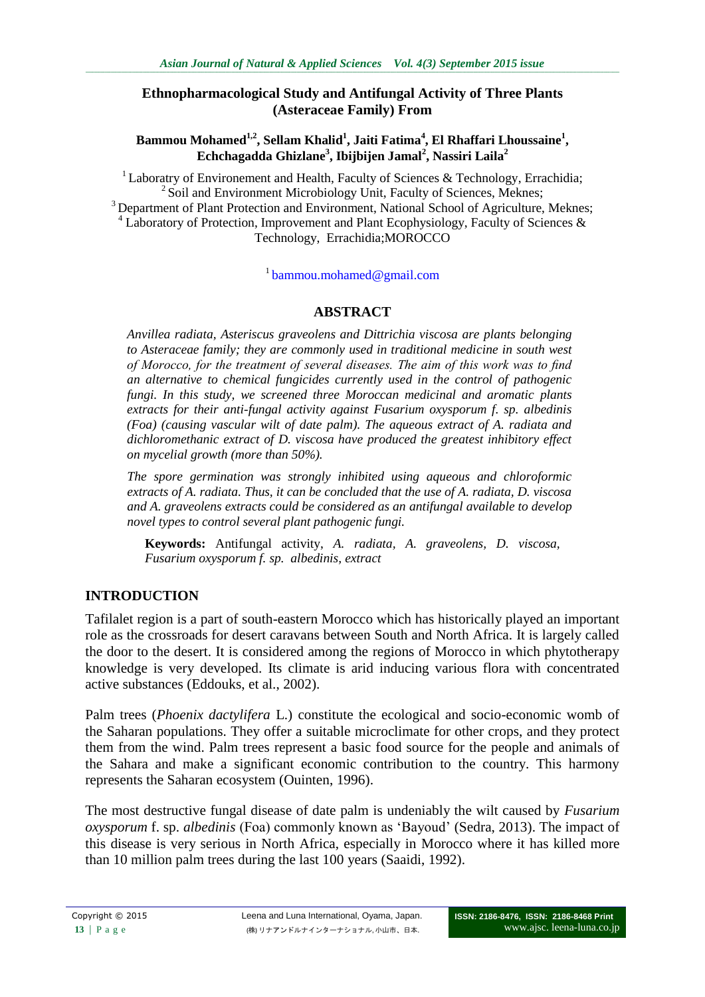### **Ethnopharmacological Study and Antifungal Activity of Three Plants (Asteraceae Family) From**

### **Bammou Mohamed1,2, Sellam Khalid<sup>1</sup> , Jaiti Fatima<sup>4</sup> , El Rhaffari Lhoussaine<sup>1</sup> , Echchagadda Ghizlane<sup>3</sup> , Ibijbijen Jamal<sup>2</sup> , Nassiri Laila<sup>2</sup>**

<sup>1</sup> Laboratry of Environement and Health, Faculty of Sciences & Technology, Errachidia; <sup>2</sup> Soil and Environment Microbiology Unit, Faculty of Sciences, Meknes; <sup>3</sup> Department of Plant Protection and Environment, National School of Agriculture, Meknes; Laboratory of Protection, Improvement and Plant Ecophysiology, Faculty of Sciences  $\&$ Technology, Errachidia;MOROCCO

<sup>1</sup> [bammou.mohamed@gmail.com](mailto:bammou.mohamed@gmail.com)

## **ABSTRACT**

*Anvillea radiata, Asteriscus graveolens and Dittrichia viscosa are plants belonging*  to Asteraceae family; they are commonly used in traditional medicine in south west *of Morocco, for the treatment of several diseases. The aim of this work was to find an alternative to chemical fungicides currently used in the control of pathogenic fungi. In this study, we screened three Moroccan medicinal and aromatic plants extracts for their anti-fungal activity against Fusarium oxysporum f. sp. albedinis (Foa) (causing vascular wilt of date palm). The aqueous extract of A. radiata and dichloromethanic extract of D. viscosa have produced the greatest inhibitory effect on mycelial growth (more than 50%).* 

*The spore germination was strongly inhibited using aqueous and chloroformic extracts of A. radiata. Thus, it can be concluded that the use of A. radiata, D. viscosa and A. graveolens extracts could be considered as an antifungal available to develop novel types to control several plant pathogenic fungi.*

**Keywords:** Antifungal activity, *A. radiata, A. graveolens, D. viscosa, Fusarium oxysporum f. sp. albedinis, extract*

## **INTRODUCTION**

Tafilalet region is a part of south-eastern Morocco which has historically played an important role as the crossroads for desert caravans between South and North Africa. It is largely called the door to the desert. It is considered among the regions of Morocco in which phytotherapy knowledge is very developed. Its climate is arid inducing various flora with concentrated active substances (Eddouks, et al., 2002).

Palm trees (*Phoenix dactylifera* L.) constitute the ecological and socio-economic womb of the Saharan populations. They offer a suitable microclimate for other crops, and they protect them from the wind. Palm trees represent a basic food source for the people and animals of the Sahara and make a significant economic contribution to the country. This harmony represents the Saharan ecosystem (Ouinten, 1996).

The most destructive fungal disease of date palm is undeniably the wilt caused by *Fusarium oxysporum* f. sp. *albedinis* (Foa) commonly known as 'Bayoud' (Sedra, 2013). The impact of this disease is very serious in North Africa, especially in Morocco where it has killed more than 10 million palm trees during the last 100 years (Saaidi, 1992).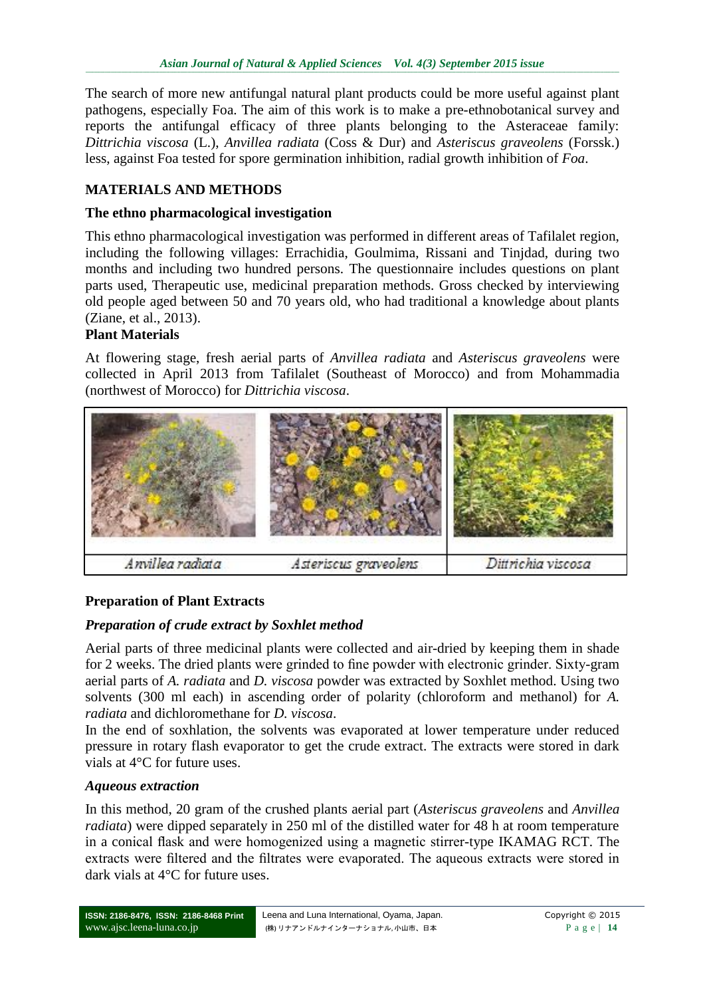The search of more new antifungal natural plant products could be more useful against plant pathogens, especially Foa. The aim of this work is to make a pre-ethnobotanical survey and reports the antifungal efficacy of three plants belonging to the Asteraceae family: *Dittrichia viscosa* (L.), *Anvillea radiata* (Coss & Dur) and *Asteriscus graveolens* (Forssk.) less, against Foa tested for spore germination inhibition, radial growth inhibition of *Foa*.

# **MATERIALS AND METHODS**

## **The ethno pharmacological investigation**

This ethno pharmacological investigation was performed in different areas of Tafilalet region, including the following villages: Errachidia, Goulmima, Rissani and Tinjdad, during two months and including two hundred persons. The questionnaire includes questions on plant parts used, Therapeutic use, medicinal preparation methods. Gross checked by interviewing old people aged between 50 and 70 years old, who had traditional a knowledge about plants (Ziane, et al., 2013).

## **Plant Materials**

At flowering stage, fresh aerial parts of *Anvillea radiata* and *Asteriscus graveolens* were collected in April 2013 from Tafilalet (Southeast of Morocco) and from Mohammadia (northwest of Morocco) for *Dittrichia viscosa*.



### **Preparation of Plant Extracts**

### *Preparation of crude extract by Soxhlet method*

Aerial parts of three medicinal plants were collected and air-dried by keeping them in shade for 2 weeks. The dried plants were grinded to fine powder with electronic grinder. Sixty-gram aerial parts of *A. radiata* and *D. viscosa* powder was extracted by Soxhlet method. Using two solvents (300 ml each) in ascending order of polarity (chloroform and methanol) for *A. radiata* and dichloromethane for *D. viscosa*.

In the end of soxhlation, the solvents was evaporated at lower temperature under reduced pressure in rotary flash evaporator to get the crude extract. The extracts were stored in dark vials at 4°C for future uses.

### *Aqueous extraction*

In this method, 20 gram of the crushed plants aerial part (*Asteriscus graveolens* and *Anvillea radiata*) were dipped separately in 250 ml of the distilled water for 48 h at room temperature in a conical flask and were homogenized using a magnetic stirrer-type IKAMAG RCT. The extracts were filtered and the filtrates were evaporated. The aqueous extracts were stored in dark vials at 4°C for future uses.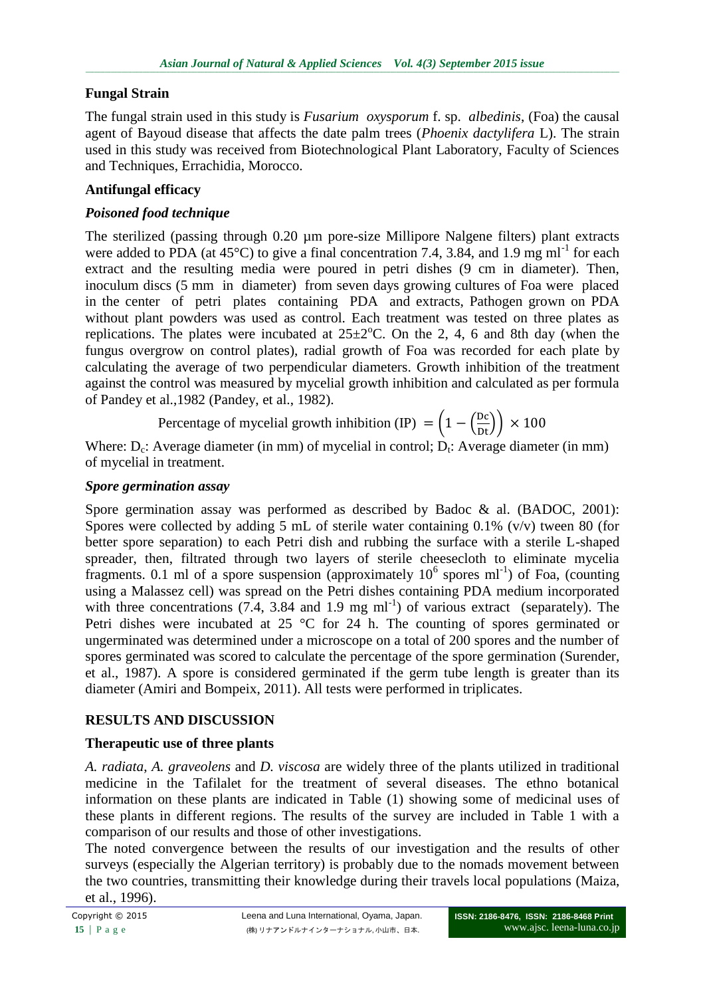## **Fungal Strain**

The fungal strain used in this study is *Fusarium oxysporum* f. sp. *albedinis*, (Foa) the causal agent of Bayoud disease that affects the date palm trees (*Phoenix dactylifera* L). The strain used in this study was received from Biotechnological Plant Laboratory, Faculty of Sciences and Techniques, Errachidia, Morocco.

## **Antifungal efficacy**

### *Poisoned food technique*

The sterilized (passing through 0.20 µm pore-size Millipore Nalgene filters) plant extracts were added to PDA (at  $45^{\circ}$ C) to give a final concentration 7.4, 3.84, and 1.9 mg ml<sup>-1</sup> for each extract and the resulting media were poured in petri dishes (9 cm in diameter). Then, inoculum discs (5 mm in diameter) from seven days growing cultures of Foa were placed in the center of petri plates containing PDA and extracts, Pathogen grown on PDA without plant powders was used as control. Each treatment was tested on three plates as replications. The plates were incubated at  $25\pm2$ °C. On the 2, 4, 6 and 8th day (when the fungus overgrow on control plates), radial growth of Foa was recorded for each plate by calculating the average of two perpendicular diameters. Growth inhibition of the treatment against the control was measured by mycelial growth inhibition and calculated as per formula of Pandey et al.,1982 (Pandey, et al., 1982).

Percentage of mycelial growth inhibition (IP) = 
$$
\left(1 - \left(\frac{Dc}{Dt}\right)\right) \times 100
$$

Where:  $D_c$ : Average diameter (in mm) of mycelial in control;  $D_t$ : Average diameter (in mm) of mycelial in treatment.

### *Spore germination assay*

Spore germination assay was performed as described by Badoc & al. (BADOC, 2001): Spores were collected by adding 5 mL of sterile water containing  $0.1\%$  (v/v) tween 80 (for better spore separation) to each Petri dish and rubbing the surface with a sterile L-shaped spreader, then, filtrated through two layers of sterile cheesecloth to eliminate mycelia fragments. 0.1 ml of a spore suspension (approximately  $10^6$  spores ml<sup>-1</sup>) of Foa, (counting using a Malassez cell) was spread on the Petri dishes containing PDA medium incorporated with three concentrations  $(7.4, 3.84 \text{ and } 1.9 \text{ mg ml}^{-1})$  of various extract (separately). The Petri dishes were incubated at 25 °C for 24 h. The counting of spores germinated or ungerminated was determined under a microscope on a total of 200 spores and the number of spores germinated was scored to calculate the percentage of the spore germination (Surender, et al., 1987). A spore is considered germinated if the germ tube length is greater than its diameter (Amiri and Bompeix, 2011). All tests were performed in triplicates.

### **RESULTS AND DISCUSSION**

### **Therapeutic use of three plants**

*A. radiata*, *A. graveolens* and *D. viscosa* are widely three of the plants utilized in traditional medicine in the Tafilalet for the treatment of several diseases. The ethno botanical information on these plants are indicated in Table (1) showing some of medicinal uses of these plants in different regions. The results of the survey are included in Table 1 with a comparison of our results and those of other investigations.

The noted convergence between the results of our investigation and the results of other surveys (especially the Algerian territory) is probably due to the nomads movement between the two countries, transmitting their knowledge during their travels local populations (Maiza, et al., 1996).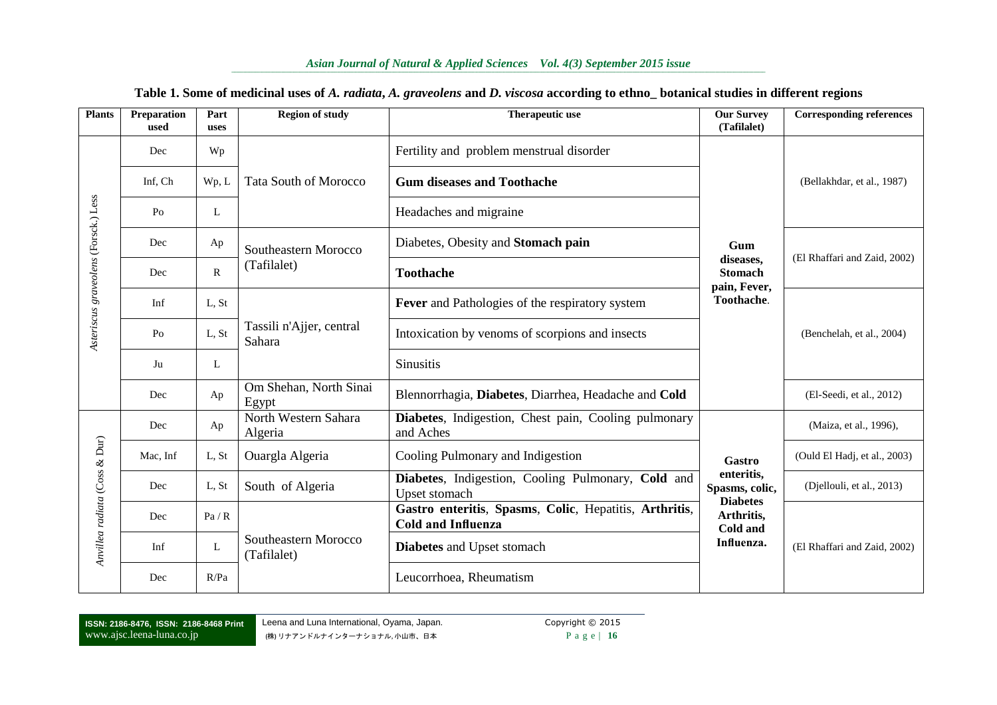#### *Asian Journal of Natural & Applied Sciences Vol. 4(3) September 2015 issue*

| <b>Plants</b>                        | Preparation<br>used | Part<br>uses | <b>Region of study</b>              | Therapeutic use                                                                     | <b>Our Survey</b><br>(Tafilalet)                | <b>Corresponding references</b> |  |
|--------------------------------------|---------------------|--------------|-------------------------------------|-------------------------------------------------------------------------------------|-------------------------------------------------|---------------------------------|--|
|                                      | Dec                 | Wp           |                                     | Fertility and problem menstrual disorder                                            |                                                 |                                 |  |
|                                      | Inf, Ch             | Wp, L        | <b>Tata South of Morocco</b>        | <b>Gum diseases and Toothache</b>                                                   |                                                 | (Bellakhdar, et al., 1987)      |  |
| Asteriscus graveolens (Forsck.) Less | P <sub>o</sub>      | L            |                                     | Headaches and migraine                                                              |                                                 |                                 |  |
|                                      | Dec                 | Ap           | Southeastern Morocco                | Diabetes, Obesity and Stomach pain                                                  | Gum                                             | (El Rhaffari and Zaid, 2002)    |  |
|                                      | Dec                 | $\mathbb{R}$ | (Tafilalet)                         | <b>Toothache</b>                                                                    | diseases,<br><b>Stomach</b><br>pain, Fever,     |                                 |  |
|                                      | Inf                 | L, St        |                                     | Fever and Pathologies of the respiratory system                                     | Toothache.                                      |                                 |  |
|                                      | Po                  | L, St        | Tassili n'Ajjer, central<br>Sahara  | Intoxication by venoms of scorpions and insects                                     |                                                 | (Benchelah, et al., 2004)       |  |
|                                      | Ju                  | L            |                                     | <b>Sinusitis</b>                                                                    |                                                 |                                 |  |
|                                      | Dec                 | Ap           | Om Shehan, North Sinai<br>Egypt     | Blennorrhagia, Diabetes, Diarrhea, Headache and Cold                                |                                                 | (El-Seedi, et al., 2012)        |  |
|                                      | Dec                 | Ap           | North Western Sahara<br>Algeria     | Diabetes, Indigestion, Chest pain, Cooling pulmonary<br>and Aches                   |                                                 | (Maiza, et al., 1996),          |  |
|                                      | Mac, Inf            | L, St        | Ouargla Algeria                     | Cooling Pulmonary and Indigestion                                                   | Gastro                                          | (Ould El Hadj, et al., 2003)    |  |
|                                      | Dec                 | L, St        | South of Algeria                    | Diabetes, Indigestion, Cooling Pulmonary, Cold and<br>Upset stomach                 | enteritis,<br>Spasms, colic,<br><b>Diabetes</b> | (Djellouli, et al., 2013)       |  |
|                                      | Dec                 | Pa/R         |                                     | Gastro enteritis, Spasms, Colic, Hepatitis, Arthritis,<br><b>Cold and Influenza</b> | Arthritis,<br>Cold and                          |                                 |  |
| Anvillea radiata (Coss & Dur)        | Inf                 | L            | Southeastern Morocco<br>(Tafilalet) | Diabetes and Upset stomach                                                          | Influenza.                                      | (El Rhaffari and Zaid, 2002)    |  |
|                                      | Dec                 | R/Pa         |                                     | Leucorrhoea, Rheumatism                                                             |                                                 |                                 |  |

#### **Table 1. Some of medicinal uses of** *A. radiata***,** *A. graveolens* **and** *D. viscosa* **according to ethno\_ botanical studies in different regions**

**ISSN: 2186-8476, ISSN: 2186-8468 Print** www.ajsc.leena-luna.co.jp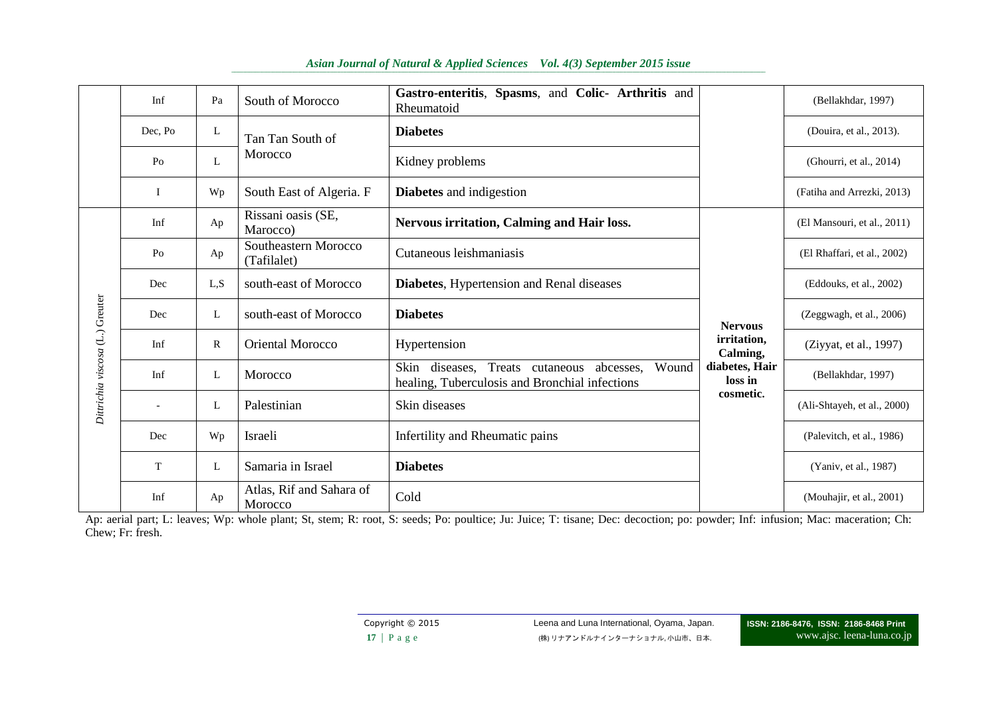|                                 | Inf         | Pa           | South of Morocco                    | Gastro-enteritis, Spasms, and Colic- Arthritis and<br>Rheumatoid                                        |                           | (Bellakhdar, 1997)          |  |
|---------------------------------|-------------|--------------|-------------------------------------|---------------------------------------------------------------------------------------------------------|---------------------------|-----------------------------|--|
|                                 | Dec. Po     | L            | Tan Tan South of                    | <b>Diabetes</b>                                                                                         |                           | (Douira, et al., 2013).     |  |
|                                 | Po          | L            | Morocco                             | Kidney problems                                                                                         |                           | (Ghourri, et al., 2014)     |  |
|                                 | I           | Wp           | South East of Algeria. F            | <b>Diabetes</b> and indigestion                                                                         |                           | (Fatiha and Arrezki, 2013)  |  |
|                                 | Inf         | Ap           | Rissani oasis (SE,<br>Marocco)      | Nervous irritation, Calming and Hair loss.                                                              |                           | (El Mansouri, et al., 2011) |  |
|                                 | Po          | Ap           | Southeastern Morocco<br>(Tafilalet) | Cutaneous leishmaniasis                                                                                 |                           | (El Rhaffari, et al., 2002) |  |
|                                 | Dec         | L, S         | south-east of Morocco               | <b>Diabetes, Hypertension and Renal diseases</b>                                                        |                           | (Eddouks, et al., 2002)     |  |
|                                 | Dec         | L            | south-east of Morocco               | <b>Diabetes</b>                                                                                         | <b>Nervous</b>            | (Zeggwagh, et al., 2006)    |  |
|                                 | Inf         | $\mathbb{R}$ | <b>Oriental Morocco</b>             | Hypertension                                                                                            | irritation,<br>Calming,   | (Ziyyat, et al., 1997)      |  |
| Dittrichia viscosa (L.) Greuter | Inf         | L            | Morocco                             | Skin diseases, Treats cutaneous<br>Wound<br>abcesses.<br>healing, Tuberculosis and Bronchial infections | diabetes, Hair<br>loss in | (Bellakhdar, 1997)          |  |
|                                 |             | L            | Palestinian                         | Skin diseases                                                                                           | cosmetic.                 | (Ali-Shtayeh, et al., 2000) |  |
|                                 | Dec         | Wp           | Israeli                             | Infertility and Rheumatic pains                                                                         |                           | (Palevitch, et al., 1986)   |  |
|                                 | $\mathbf T$ | L            | Samaria in Israel                   | <b>Diabetes</b>                                                                                         |                           | (Yaniv, et al., 1987)       |  |
|                                 | Inf         | Ap           | Atlas, Rif and Sahara of<br>Morocco | Cold                                                                                                    |                           | (Mouhajir, et al., 2001)    |  |

#### *Asian Journal of Natural & Applied Sciences Vol. 4(3) September 2015 issue*

Ap: aerial part; L: leaves; Wp: whole plant; St, stem; R: root, S: seeds; Po: poultice; Ju: Juice; T: tisane; Dec: decoction; po: powder; Inf: infusion; Mac: maceration; Ch: Chew; Fr: fresh.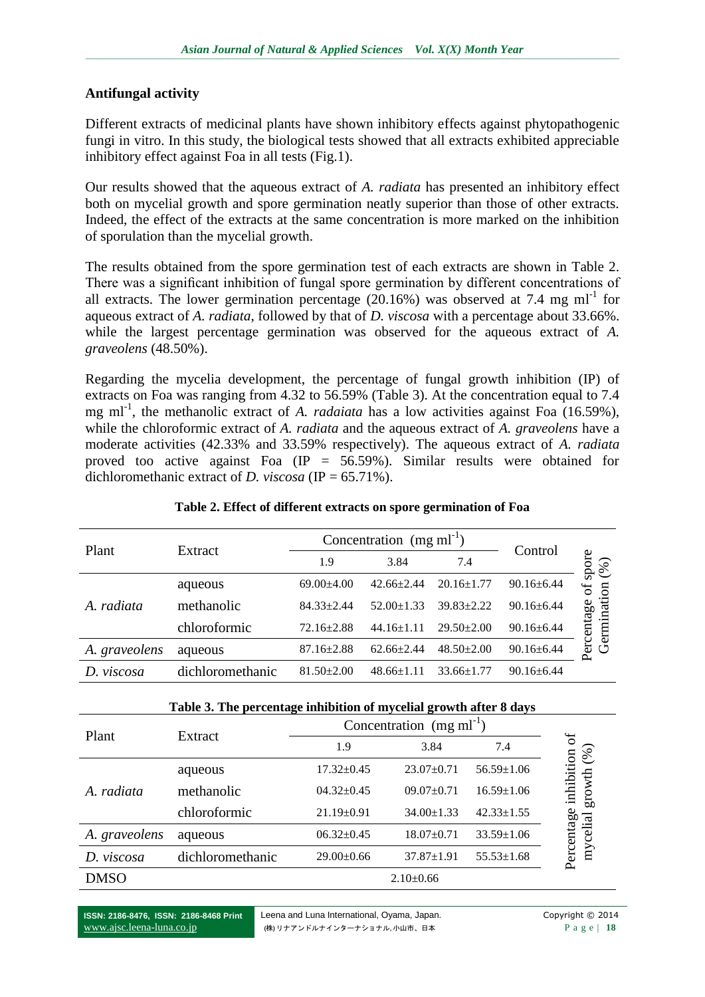### **Antifungal activity**

Different extracts of medicinal plants have shown inhibitory effects against phytopathogenic fungi in vitro. In this study, the biological tests showed that all extracts exhibited appreciable inhibitory effect against Foa in all tests (Fig.1).

Our results showed that the aqueous extract of *A. radiata* has presented an inhibitory effect both on mycelial growth and spore germination neatly superior than those of other extracts. Indeed, the effect of the extracts at the same concentration is more marked on the inhibition of sporulation than the mycelial growth.

The results obtained from the spore germination test of each extracts are shown in Table 2. There was a significant inhibition of fungal spore germination by different concentrations of all extracts. The lower germination percentage  $(20.16%)$  was observed at 7.4 mg ml<sup>-1</sup> for aqueous extract of *A. radiata*, followed by that of *D. viscosa* with a percentage about 33.66%. while the largest percentage germination was observed for the aqueous extract of *A*. *graveolens* (48.50%).

Regarding the mycelia development, the percentage of fungal growth inhibition (IP) of extracts on Foa was ranging from 4.32 to 56.59% (Table 3). At the concentration equal to 7.4 mg ml<sup>-1</sup>, the methanolic extract of *A. radaiata* has a low activities against Foa (16.59%), while the chloroformic extract of *A. radiata* and the aqueous extract of *A. graveolens* have a moderate activities (42.33% and 33.59% respectively). The aqueous extract of *A. radiata* proved too active against Foa (IP =  $56.59\%$ ). Similar results were obtained for dichloromethanic extract of *D. viscosa* (IP = 65.71%).

| Plant         | Extract          |                  | Concentration $(mg \, ml^{-1})$ |                  |                  |                          |
|---------------|------------------|------------------|---------------------------------|------------------|------------------|--------------------------|
|               |                  | 1.9              | 3.84                            | 7.4              | Control          | spore<br>(%)             |
|               | aqueous          | $69.00 + 4.00$   | $42.66 \pm 2.44$                | $20.16 \pm 1.77$ | $90.16 \pm 6.44$ | ð                        |
| A. radiata    | methanolic       | $84.33 \pm 2.44$ | $52.00+1.33$                    | $39.83 + 2.22$   | $90.16 \pm 6.44$ |                          |
|               | chloroformic     | $72.16 \pm 2.88$ | $44.16 \pm 1.11$                | $29.50 \pm 2.00$ | $90.16 \pm 6.44$ | Germination<br>ercentage |
| A. graveolens | aqueous          | $87.16 \pm 2.88$ | $62.66 \pm 2.44$                | $48.50 \pm 2.00$ | $90.16 \pm 6.44$ |                          |
| viscosa<br>D. | dichloromethanic | $81.50 \pm 2.00$ | $48.66 + 1.11$                  | $33.66 \pm 1.77$ | $90.16 \pm 6.44$ |                          |

### **Table 2. Effect of different extracts on spore germination of Foa**

| Table 3. The percentage inhibition of mycelial growth after 8 days |  |  |  |
|--------------------------------------------------------------------|--|--|--|
|                                                                    |  |  |  |

| Plant         | Extract          | Concentration $(mg \, ml^{-1})$ |                  |                  |                        |
|---------------|------------------|---------------------------------|------------------|------------------|------------------------|
|               |                  | 1.9                             | 3.84             | 7.4              | ð<br>(%)               |
|               | aqueous          | $17.32 \pm 0.45$                | $23.07 \pm 0.71$ | $56.59 \pm 1.06$ |                        |
| A. radiata    | methanolic       | $04.32 \pm 0.45$                | $09.07 \pm 0.71$ | $16.59 \pm 1.06$ | inhibition<br>growth   |
|               | chloroformic     | $21.19 \pm 0.91$                | $34.00 \pm 1.33$ | $42.33 \pm 1.55$ |                        |
| A. graveolens | aqueous          | $06.32 \pm 0.45$                | $18.07 \pm 0.71$ | $33.59 \pm 1.06$ | Percentage<br>mycelial |
| D. viscosa    | dichloromethanic | $29.00 \pm 0.66$                | $37.87 \pm 1.91$ | $55.53 \pm 1.68$ |                        |
| <b>DMSO</b>   |                  |                                 | $2.10\pm0.66$    |                  |                        |

**ISSN: 2186-8476, ISSN: 2186-8468 Print** www.ajsc.leena-luna.co.jp

Leena and Luna International, Ovama, Japan. Copyright © 2014 (株) リナアンドルナインターナショナル, 小山市、日本 P a g e | **18**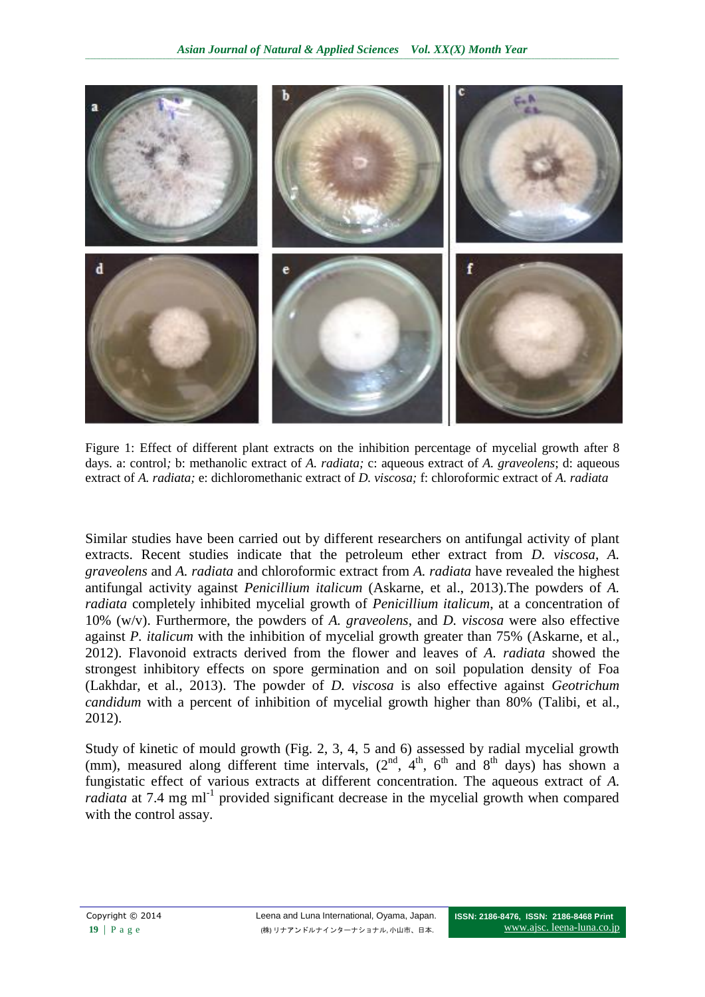

Figure 1: Effect of different plant extracts on the inhibition percentage of mycelial growth after 8 days. a: control*;* b: methanolic extract of *A. radiata;* c: aqueous extract of *A. graveolens*; d: aqueous extract of *A. radiata;* e: dichloromethanic extract of *D. viscosa;* f: chloroformic extract of *A. radiata*

Similar studies have been carried out by different researchers on antifungal activity of plant extracts. Recent studies indicate that the petroleum ether extract from *D. viscosa*, *A. graveolens* and *A. radiata* and chloroformic extract from *A. radiata* have revealed the highest antifungal activity against *Penicillium italicum* (Askarne, et al., 2013).The powders of *A. radiata* completely inhibited mycelial growth of *Penicillium italicum*, at a concentration of 10% (w/v). Furthermore, the powders of *A. graveolens*, and *D. viscosa* were also effective against *P. italicum* with the inhibition of mycelial growth greater than 75% (Askarne, et al., 2012). Flavonoid extracts derived from the flower and leaves of *A. radiata* showed the strongest inhibitory effects on spore germination and on soil population density of Foa (Lakhdar, et al., 2013). The powder of *D. viscosa* is also effective against *Geotrichum candidum* with a percent of inhibition of mycelial growth higher than 80% (Talibi, et al., 2012).

Study of kinetic of mould growth (Fig. 2, 3, 4, 5 and 6) assessed by radial mycelial growth (mm), measured along different time intervals,  $(2<sup>nd</sup>, 4<sup>th</sup>, 6<sup>th</sup>$  and  $8<sup>th</sup>$  days) has shown a fungistatic effect of various extracts at different concentration. The aqueous extract of *A.*  radiata at 7.4 mg ml<sup>-1</sup> provided significant decrease in the mycelial growth when compared with the control assay.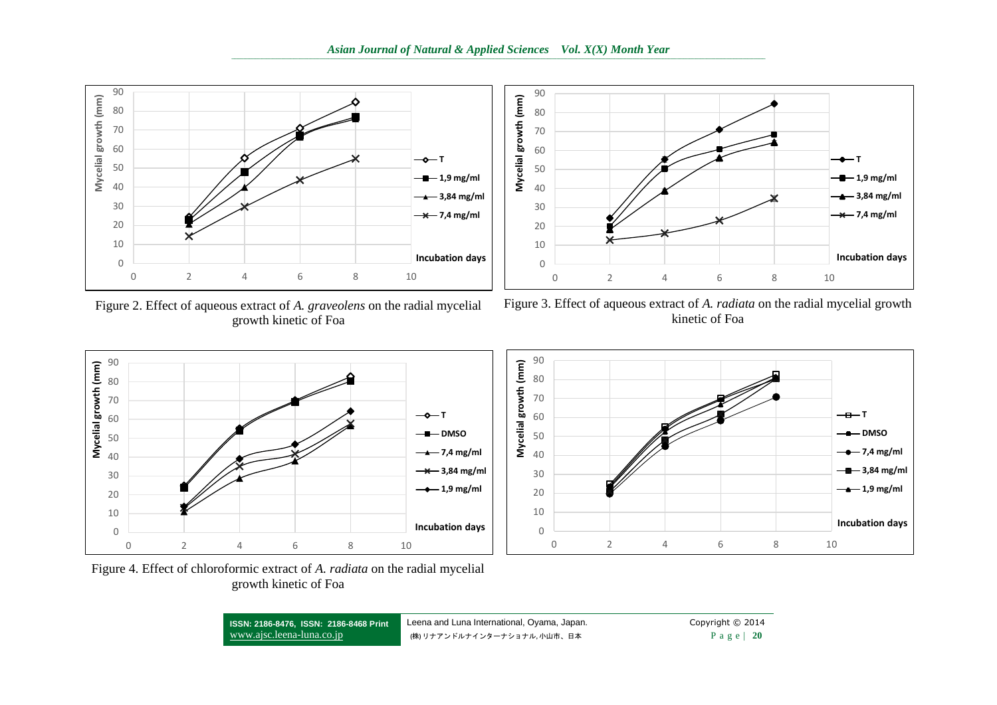90



Figure 2. Effect of aqueous extract of *A. graveolens* on the radial mycelial growth kinetic of Foa



Figure 3. Effect of aqueous extract of *A. radiata* on the radial mycelial growth kinetic of Foa



0 10 20 30 40 50 60 70 80 0 2 4 6 8 10 **Mycelial growth (mm) Incubation days**  $\overline{a}$  $\rightarrow$ DMSO  $-$  7,4 mg/ml **3,84 mg/ml**  $\frac{1}{2}$  1.9 mg/ml

Figure 4. Effect of chloroformic extract of *A. radiata* on the radial mycelial growth kinetic of Foa

**ISSN: 2186-8476, ISSN: 2186-8468 Print** www.ajsc.leena-luna.co.jp Leena and Luna International, Oyama, Japan. Copyright © 2014 (株) リナアンドルナインターナショナル, 小山市、日本 **P** a g e | 20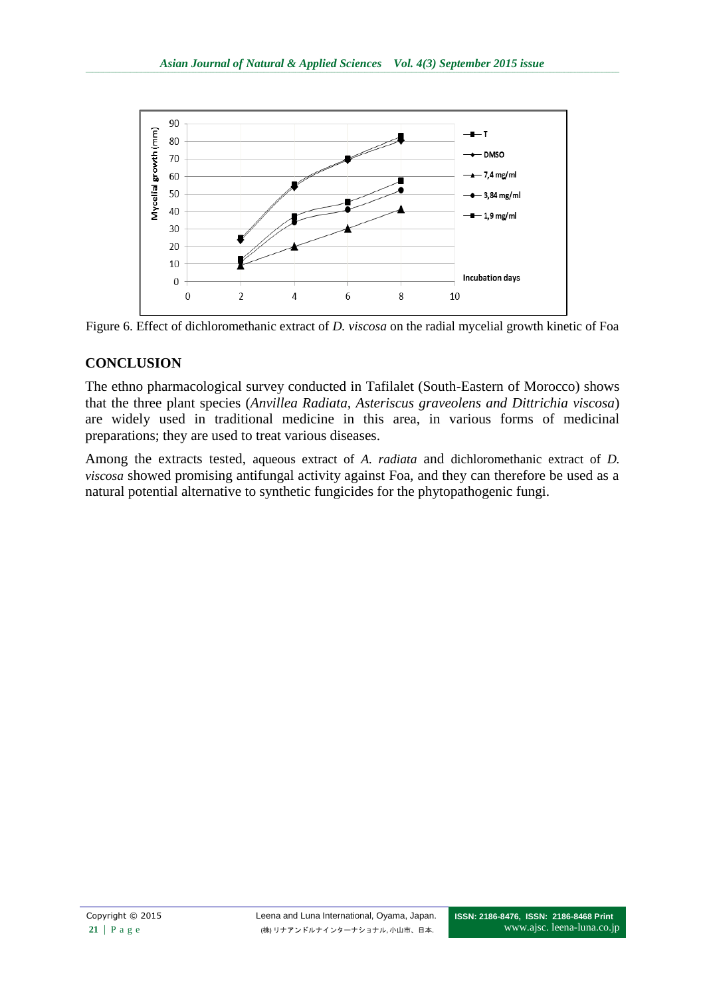



# **CONCLUSION**

The ethno pharmacological survey conducted in Tafilalet (South-Eastern of Morocco) shows that the three plant species (*Anvillea Radiata, Asteriscus graveolens and Dittrichia viscosa*) are widely used in traditional medicine in this area, in various forms of medicinal preparations; they are used to treat various diseases.

Among the extracts tested, aqueous extract of *A. radiata* and dichloromethanic extract of *D. viscosa* showed promising antifungal activity against Foa, and they can therefore be used as a natural potential alternative to synthetic fungicides for the phytopathogenic fungi.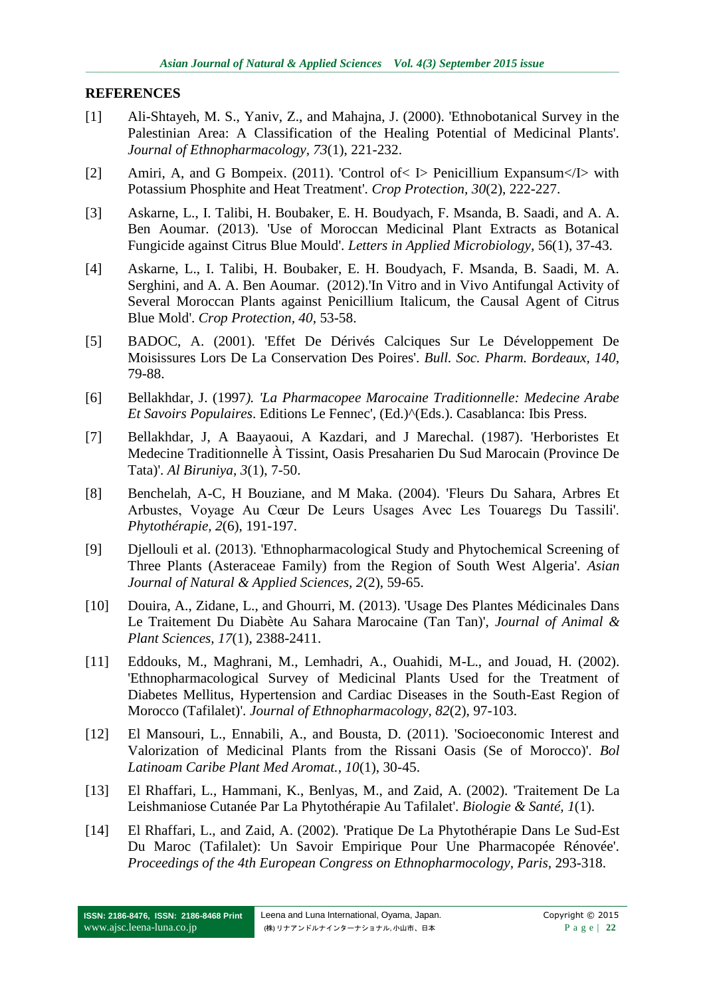#### **REFERENCES**

- [1] Ali-Shtayeh, M. S., Yaniv, Z., and Mahajna, J. (2000). 'Ethnobotanical Survey in the Palestinian Area: A Classification of the Healing Potential of Medicinal Plants'. *Journal of Ethnopharmacology, 73*(1), 221-232.
- [2] Amiri, A, and G Bompeix. (2011). 'Control of< I> Penicillium Expansum</I> with Potassium Phosphite and Heat Treatment'. *Crop Protection, 30*(2), 222-227.
- [3] Askarne, L., I. Talibi, H. Boubaker, E. H. Boudyach, F. Msanda, B. Saadi, and A. A. Ben Aoumar. (2013). 'Use of Moroccan Medicinal Plant Extracts as Botanical Fungicide against Citrus Blue Mould'. *Letters in Applied Microbiology,* 56(1), 37-43.
- [4] Askarne, L., I. Talibi, H. Boubaker, E. H. Boudyach, F. Msanda, B. Saadi, M. A. Serghini, and A. A. Ben Aoumar. (2012).'In Vitro and in Vivo Antifungal Activity of Several Moroccan Plants against Penicillium Italicum, the Causal Agent of Citrus Blue Mold'. *Crop Protection, 40*, 53-58.
- [5] BADOC, A. (2001). 'Effet De Dérivés Calciques Sur Le Développement De Moisissures Lors De La Conservation Des Poires'. *Bull. Soc. Pharm. Bordeaux, 140*, 79-88.
- [6] Bellakhdar, J. (1997*). 'La Pharmacopee Marocaine Traditionnelle: Medecine Arabe Et Savoirs Populaires*. Editions Le Fennec', (Ed.)^(Eds.). Casablanca: Ibis Press.
- [7] Bellakhdar, J, A Baayaoui, A Kazdari, and J Marechal. (1987). 'Herboristes Et Medecine Traditionnelle À Tissint, Oasis Presaharien Du Sud Marocain (Province De Tata)'. *Al Biruniya, 3*(1), 7-50.
- [8] Benchelah, A-C, H Bouziane, and M Maka. (2004). 'Fleurs Du Sahara, Arbres Et Arbustes, Voyage Au Cœur De Leurs Usages Avec Les Touaregs Du Tassili'. *Phytothérapie, 2*(6), 191-197.
- [9] Djellouli et al. (2013). 'Ethnopharmacological Study and Phytochemical Screening of Three Plants (Asteraceae Family) from the Region of South West Algeria'. *Asian Journal of Natural & Applied Sciences, 2*(2), 59-65.
- [10] Douira, A., Zidane, L., and Ghourri, M. (2013). 'Usage Des Plantes Médicinales Dans Le Traitement Du Diabète Au Sahara Marocaine (Tan Tan)', *Journal of Animal & Plant Sciences, 17*(1), 2388-2411.
- [11] Eddouks, M., Maghrani, M., Lemhadri, A., Ouahidi, M-L., and Jouad, H. (2002). 'Ethnopharmacological Survey of Medicinal Plants Used for the Treatment of Diabetes Mellitus, Hypertension and Cardiac Diseases in the South-East Region of Morocco (Tafilalet)'. *Journal of Ethnopharmacology, 82*(2), 97-103.
- [12] El Mansouri, L., Ennabili, A., and Bousta, D. (2011). 'Socioeconomic Interest and Valorization of Medicinal Plants from the Rissani Oasis (Se of Morocco)'. *Bol Latinoam Caribe Plant Med Aromat., 10*(1), 30-45.
- [13] El Rhaffari, L., Hammani, K., Benlyas, M., and Zaid, A. (2002). 'Traitement De La Leishmaniose Cutanée Par La Phytothérapie Au Tafilalet'. *Biologie & Santé, 1*(1).
- [14] El Rhaffari, L., and Zaid, A. (2002). 'Pratique De La Phytothérapie Dans Le Sud-Est Du Maroc (Tafilalet): Un Savoir Empirique Pour Une Pharmacopée Rénovée'. *Proceedings of the 4th European Congress on Ethnopharmocology, Paris,* 293-318.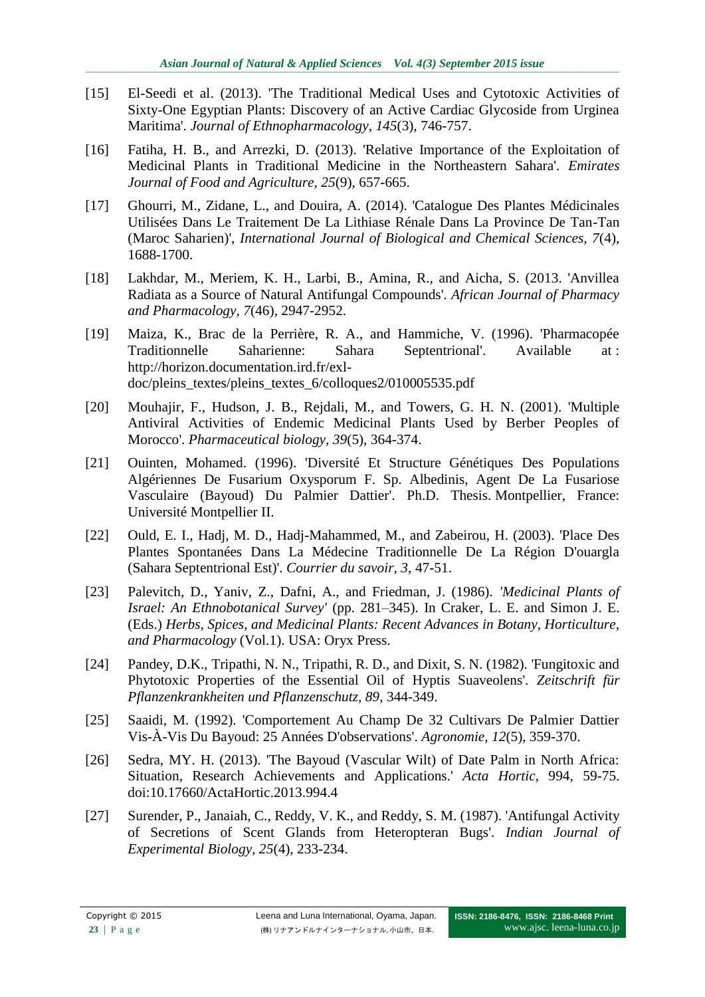- [15] El-Seedi et al. (2013). 'The Traditional Medical Uses and Cytotoxic Activities of Sixty-One Egyptian Plants: Discovery of an Active Cardiac Glycoside from Urginea Maritima'. *Journal of Ethnopharmacology, 145*(3), 746-757.
- [16] Fatiha, H. B., and Arrezki, D. (2013). 'Relative Importance of the Exploitation of Medicinal Plants in Traditional Medicine in the Northeastern Sahara'. *Emirates Journal of Food and Agriculture, 25*(9), 657-665.
- [17] Ghourri, M., Zidane, L., and Douira, A. (2014). 'Catalogue Des Plantes Médicinales Utilisées Dans Le Traitement De La Lithiase Rénale Dans La Province De Tan-Tan (Maroc Saharien)', *International Journal of Biological and Chemical Sciences, 7*(4), 1688-1700.
- [18] Lakhdar, M., Meriem, K. H., Larbi, B., Amina, R., and Aicha, S. (2013. 'Anvillea Radiata as a Source of Natural Antifungal Compounds'. *African Journal of Pharmacy and Pharmacology, 7*(46), 2947-2952.
- [19] Maiza, K., Brac de la Perrière, R. A., and Hammiche, V. (1996). 'Pharmacopée Traditionnelle Saharienne: Sahara Septentrional'. Available at : [http://horizon.documentation.ird.fr/exl](http://horizon.documentation.ird.fr/exl-doc/pleins_textes/pleins_textes_6/colloques2/010005535.pdf)[doc/pleins\\_textes/pleins\\_textes\\_6/colloques2/010005535.pdf](http://horizon.documentation.ird.fr/exl-doc/pleins_textes/pleins_textes_6/colloques2/010005535.pdf)
- [20] Mouhajir, F., Hudson, J. B., Rejdali, M., and Towers, G. H. N. (2001). 'Multiple Antiviral Activities of Endemic Medicinal Plants Used by Berber Peoples of Morocco'. *Pharmaceutical biology, 39*(5), 364-374.
- [21] Ouinten, Mohamed. (1996). 'Diversité Et Structure Génétiques Des Populations Algériennes De Fusarium Oxysporum F. Sp. Albedinis, Agent De La Fusariose Vasculaire (Bayoud) Du Palmier Dattier'. Ph.D. Thesis. Montpellier, France: Université Montpellier II.
- [22] Ould, E. I., Hadj, M. D., Hadj-Mahammed, M., and Zabeirou, H. (2003). 'Place Des Plantes Spontanées Dans La Médecine Traditionnelle De La Région D'ouargla (Sahara Septentrional Est)'. *Courrier du savoir, 3*, 47-51.
- [23] Palevitch, D., Yaniv, Z., Dafni, A., and Friedman, J. (1986). *'Medicinal Plants of Israel: An Ethnobotanical Survey'* (pp. 281–345). In Craker, L. E. and Simon J. E. (Eds.) *Herbs, Spices, and Medicinal Plants: Recent Advances in Botany, Horticulture, and Pharmacology* (Vol.1). USA: Oryx Press.
- [24] Pandey, D.K., Tripathi, N. N., Tripathi, R. D., and Dixit, S. N. (1982). 'Fungitoxic and Phytotoxic Properties of the Essential Oil of Hyptis Suaveolens'. *Zeitschrift für Pflanzenkrankheiten und Pflanzenschutz, 89*, 344-349.
- [25] Saaidi, M. (1992). 'Comportement Au Champ De 32 Cultivars De Palmier Dattier Vis-À-Vis Du Bayoud: 25 Années D'observations'. *Agronomie, 12*(5), 359-370.
- [26] Sedra, MY. H. (2013). 'The Bayoud (Vascular Wilt) of Date Palm in North Africa: Situation, Research Achievements and Applications.' *Acta Hortic*, 994, 59-75. doi:10.17660/ActaHortic.2013.994.4
- [27] Surender, P., Janaiah, C., Reddy, V. K., and Reddy, S. M. (1987). 'Antifungal Activity of Secretions of Scent Glands from Heteropteran Bugs'. *Indian Journal of Experimental Biology, 25*(4), 233-234.